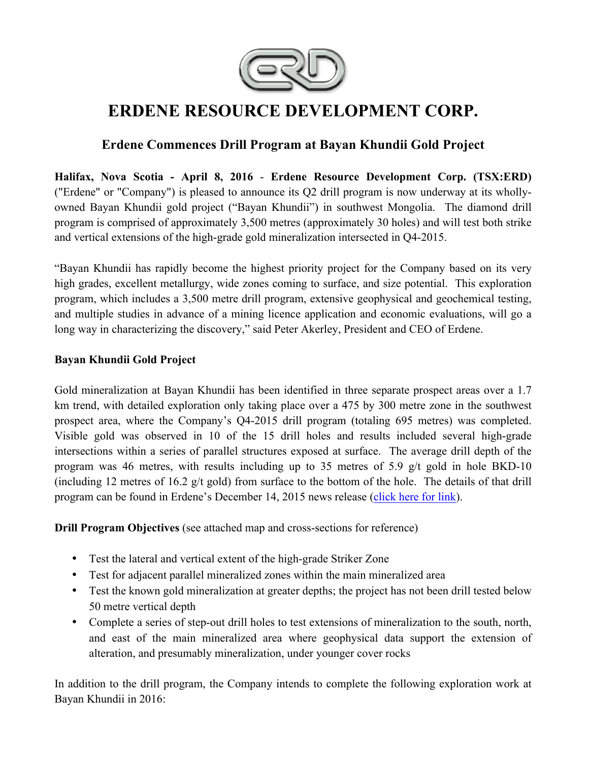

# **ERDENE RESOURCE DEVELOPMENT CORP.**

## **Erdene Commences Drill Program at Bayan Khundii Gold Project**

**Halifax, Nova Scotia - April 8, 2016** - **Erdene Resource Development Corp. (TSX:ERD)**  ("Erdene" or "Company") is pleased to announce its Q2 drill program is now underway at its whollyowned Bayan Khundii gold project ("Bayan Khundii") in southwest Mongolia. The diamond drill program is comprised of approximately 3,500 metres (approximately 30 holes) and will test both strike and vertical extensions of the high-grade gold mineralization intersected in Q4-2015.

"Bayan Khundii has rapidly become the highest priority project for the Company based on its very high grades, excellent metallurgy, wide zones coming to surface, and size potential. This exploration program, which includes a 3,500 metre drill program, extensive geophysical and geochemical testing, and multiple studies in advance of a mining licence application and economic evaluations, will go a long way in characterizing the discovery," said Peter Akerley, President and CEO of Erdene.

#### **Bayan Khundii Gold Project**

Gold mineralization at Bayan Khundii has been identified in three separate prospect areas over a 1.7 km trend, with detailed exploration only taking place over a 475 by 300 metre zone in the southwest prospect area, where the Company's Q4-2015 drill program (totaling 695 metres) was completed. Visible gold was observed in 10 of the 15 drill holes and results included several high-grade intersections within a series of parallel structures exposed at surface. The average drill depth of the program was 46 metres, with results including up to 35 metres of 5.9 g/t gold in hole BKD-10 (including 12 metres of 16.2 g/t gold) from surface to the bottom of the hole. The details of that drill program can be found in Erdene's December 14, 2015 news release (click here for link).

**Drill Program Objectives** (see attached map and cross-sections for reference)

- Test the lateral and vertical extent of the high-grade Striker Zone
- Test for adjacent parallel mineralized zones within the main mineralized area
- Test the known gold mineralization at greater depths; the project has not been drill tested below 50 metre vertical depth
- Complete a series of step-out drill holes to test extensions of mineralization to the south, north, and east of the main mineralized area where geophysical data support the extension of alteration, and presumably mineralization, under younger cover rocks

In addition to the drill program, the Company intends to complete the following exploration work at Bayan Khundii in 2016: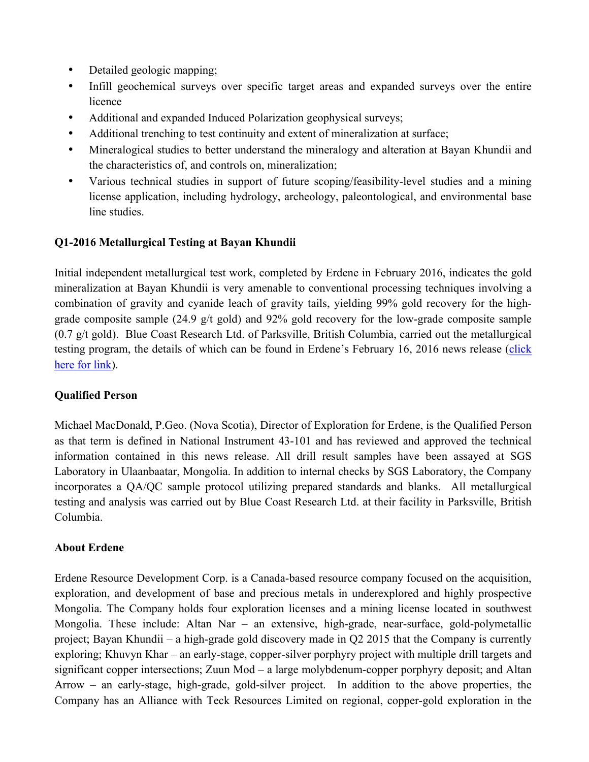- Detailed geologic mapping;
- Infill geochemical surveys over specific target areas and expanded surveys over the entire licence
- Additional and expanded Induced Polarization geophysical surveys;
- Additional trenching to test continuity and extent of mineralization at surface;
- Mineralogical studies to better understand the mineralogy and alteration at Bayan Khundii and the characteristics of, and controls on, mineralization;
- Various technical studies in support of future scoping/feasibility-level studies and a mining license application, including hydrology, archeology, paleontological, and environmental base line studies.

#### **Q1-2016 Metallurgical Testing at Bayan Khundii**

Initial independent metallurgical test work, completed by Erdene in February 2016, indicates the gold mineralization at Bayan Khundii is very amenable to conventional processing techniques involving a combination of gravity and cyanide leach of gravity tails, yielding 99% gold recovery for the highgrade composite sample (24.9 g/t gold) and 92% gold recovery for the low-grade composite sample (0.7 g/t gold). Blue Coast Research Ltd. of Parksville, British Columbia, carried out the metallurgical testing program, the details of which can be found in Erdene's February 16, 2016 news release (click here for link).

#### **Qualified Person**

Michael MacDonald, P.Geo. (Nova Scotia), Director of Exploration for Erdene, is the Qualified Person as that term is defined in National Instrument 43-101 and has reviewed and approved the technical information contained in this news release. All drill result samples have been assayed at SGS Laboratory in Ulaanbaatar, Mongolia. In addition to internal checks by SGS Laboratory, the Company incorporates a QA/QC sample protocol utilizing prepared standards and blanks. All metallurgical testing and analysis was carried out by Blue Coast Research Ltd. at their facility in Parksville, British Columbia.

#### **About Erdene**

Erdene Resource Development Corp. is a Canada-based resource company focused on the acquisition, exploration, and development of base and precious metals in underexplored and highly prospective Mongolia. The Company holds four exploration licenses and a mining license located in southwest Mongolia. These include: Altan Nar – an extensive, high-grade, near-surface, gold-polymetallic project; Bayan Khundii – a high-grade gold discovery made in Q2 2015 that the Company is currently exploring; Khuvyn Khar – an early-stage, copper-silver porphyry project with multiple drill targets and significant copper intersections; Zuun Mod – a large molybdenum-copper porphyry deposit; and Altan Arrow – an early-stage, high-grade, gold-silver project. In addition to the above properties, the Company has an Alliance with Teck Resources Limited on regional, copper-gold exploration in the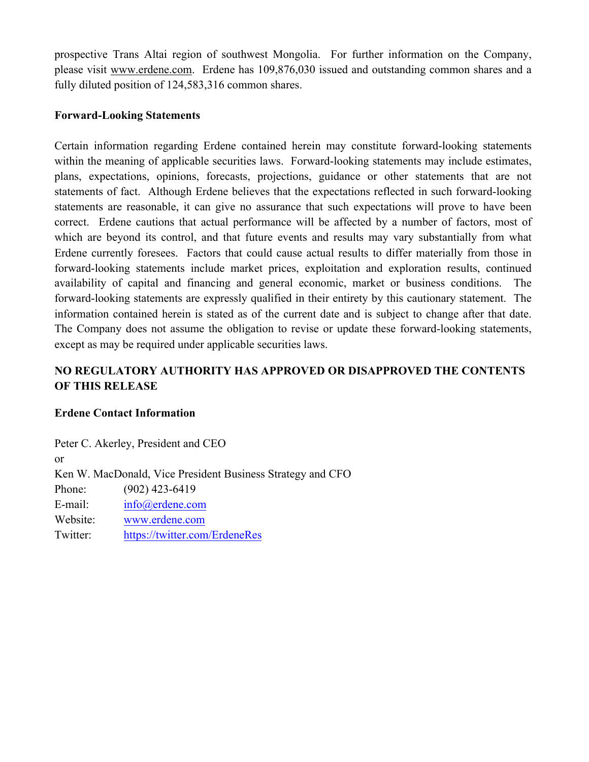prospective Trans Altai region of southwest Mongolia. For further information on the Company, please visit www.erdene.com. Erdene has 109,876,030 issued and outstanding common shares and a fully diluted position of 124,583,316 common shares.

#### **Forward-Looking Statements**

Certain information regarding Erdene contained herein may constitute forward-looking statements within the meaning of applicable securities laws. Forward-looking statements may include estimates, plans, expectations, opinions, forecasts, projections, guidance or other statements that are not statements of fact. Although Erdene believes that the expectations reflected in such forward-looking statements are reasonable, it can give no assurance that such expectations will prove to have been correct. Erdene cautions that actual performance will be affected by a number of factors, most of which are beyond its control, and that future events and results may vary substantially from what Erdene currently foresees. Factors that could cause actual results to differ materially from those in forward-looking statements include market prices, exploitation and exploration results, continued availability of capital and financing and general economic, market or business conditions. The forward-looking statements are expressly qualified in their entirety by this cautionary statement. The information contained herein is stated as of the current date and is subject to change after that date. The Company does not assume the obligation to revise or update these forward-looking statements, except as may be required under applicable securities laws.

### **NO REGULATORY AUTHORITY HAS APPROVED OR DISAPPROVED THE CONTENTS OF THIS RELEASE**

#### **Erdene Contact Information**

Peter C. Akerley, President and CEO or Ken W. MacDonald, Vice President Business Strategy and CFO Phone: (902) 423-6419 E-mail: info@erdene.com Website: www.erdene.com Twitter: https://twitter.com/ErdeneRes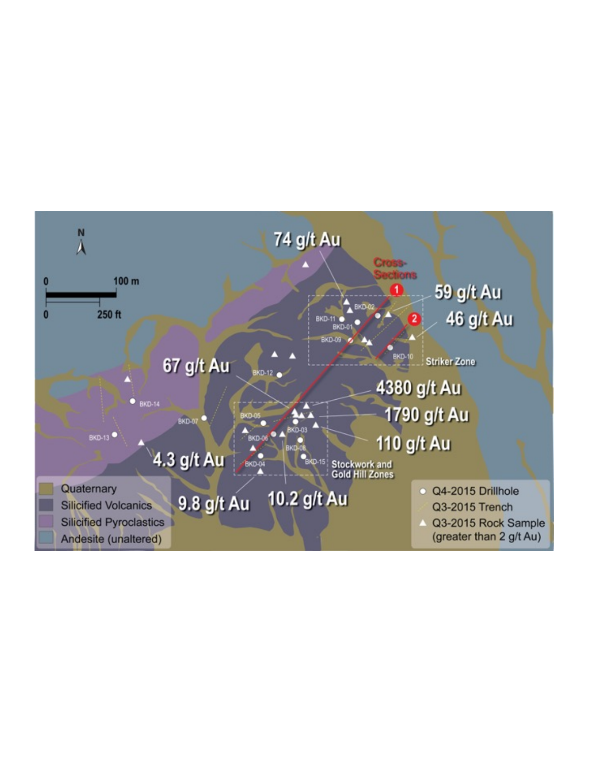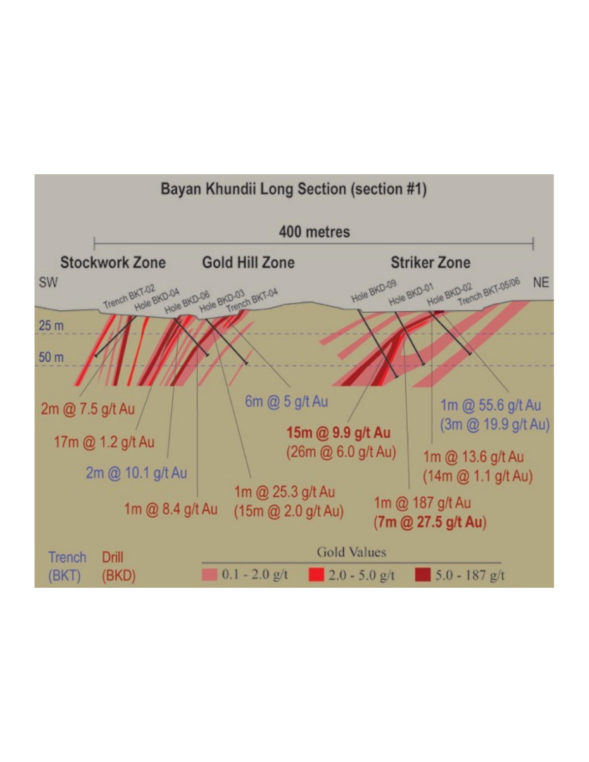